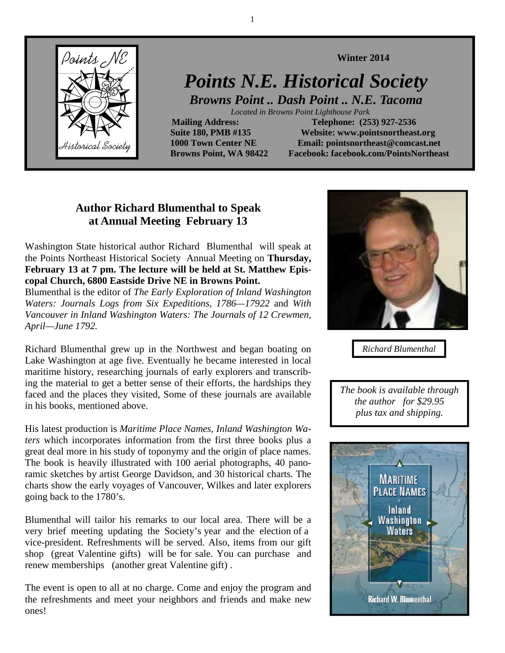

# *Points N.E. Historical Society*

*Browns Point .. Dash Point .. N.E. Tacoma* 

 *Located in Browns Point Lighthouse Park* 

**Mailing Address:** Telephone: (253) 927-2536  **Suite 180, PMB #135 Website: www.pointsnortheast.org 1000 Town Center NE Email: pointsnortheast@comcast.net Browns Point, WA 98422 Facebook: facebook.com/PointsNortheast** 

**Winter 2014** 

# **Author Richard Blumenthal to Speak at Annual Meeting February 13**

Washington State historical author Richard Blumenthal will speak at the Points Northeast Historical Society Annual Meeting on **Thursday, February 13 at 7 pm. The lecture will be held at St. Matthew Episcopal Church, 6800 Eastside Drive NE in Browns Point.** 

Blumenthal is the editor of *The Early Exploration of Inland Washington Waters: Journals Logs from Six Expeditions, 1786—17922* and *With Vancouver in Inland Washington Waters: The Journals of 12 Crewmen, April—June 1792.* 

Richard Blumenthal grew up in the Northwest and began boating on Lake Washington at age five. Eventually he became interested in local maritime history, researching journals of early explorers and transcribing the material to get a better sense of their efforts, the hardships they faced and the places they visited, Some of these journals are available in his books, mentioned above.

His latest production is *Maritime Place Names, Inland Washington Waters* which incorporates information from the first three books plus a great deal more in his study of toponymy and the origin of place names. The book is heavily illustrated with 100 aerial photographs, 40 panoramic sketches by artist George Davidson, and 30 historical charts. The charts show the early voyages of Vancouver, Wilkes and later explorers going back to the 1780's.

Blumenthal will tailor his remarks to our local area. There will be a very brief meeting updating the Society's year and the election of a vice-president. Refreshments will be served. Also, items from our gift shop (great Valentine gifts) will be for sale. You can purchase and renew memberships (another great Valentine gift) .

The event is open to all at no charge. Come and enjoy the program and the refreshments and meet your neighbors and friends and make new ones!



*Richard Blumenthal* 

*The book is available through the author for \$29.95 plus tax and shipping.* 



1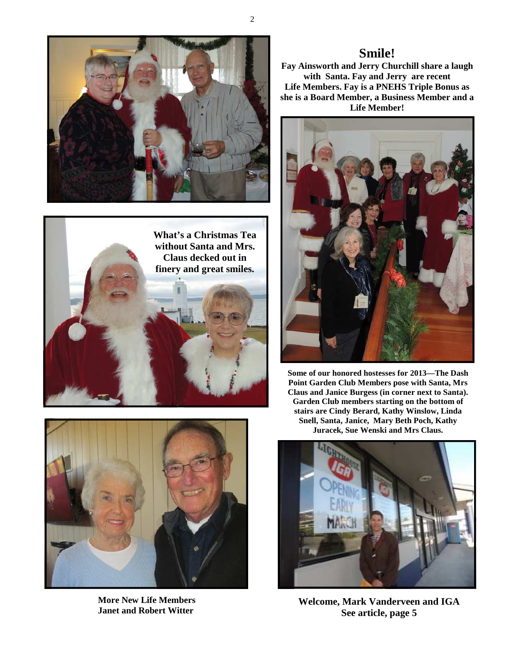





**More New Life Members Janet and Robert Witter** 

## **Smile!**

**Fay Ainsworth and Jerry Churchill share a laugh with Santa. Fay and Jerry are recent Life Members. Fay is a PNEHS Triple Bonus as she is a Board Member, a Business Member and a Life Member!** 



**Some of our honored hostesses for 2013—The Dash Point Garden Club Members pose with Santa, Mrs Claus and Janice Burgess (in corner next to Santa). Garden Club members starting on the bottom of stairs are Cindy Berard, Kathy Winslow, Linda Snell, Santa, Janice, Mary Beth Poch, Kathy Juracek, Sue Wenski and Mrs Claus.** 



**Welcome, Mark Vanderveen and IGA See article, page 5** 

2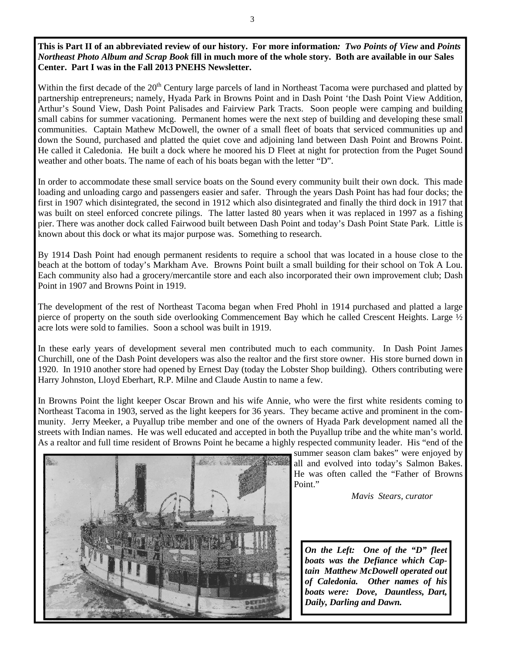**This is Part II of an abbreviated review of our history. For more information***: Two Points of View* **and** *Points Northeast Photo Album and Scrap Book* **fill in much more of the whole story. Both are available in our Sales Center. Part I was in the Fall 2013 PNEHS Newsletter.** 

Within the first decade of the 20<sup>th</sup> Century large parcels of land in Northeast Tacoma were purchased and platted by partnership entrepreneurs; namely, Hyada Park in Browns Point and in Dash Point 'the Dash Point View Addition, Arthur's Sound View, Dash Point Palisades and Fairview Park Tracts. Soon people were camping and building small cabins for summer vacationing. Permanent homes were the next step of building and developing these small communities. Captain Mathew McDowell, the owner of a small fleet of boats that serviced communities up and down the Sound, purchased and platted the quiet cove and adjoining land between Dash Point and Browns Point. He called it Caledonia. He built a dock where he moored his D Fleet at night for protection from the Puget Sound weather and other boats. The name of each of his boats began with the letter "D".

In order to accommodate these small service boats on the Sound every community built their own dock. This made loading and unloading cargo and passengers easier and safer. Through the years Dash Point has had four docks; the first in 1907 which disintegrated, the second in 1912 which also disintegrated and finally the third dock in 1917 that was built on steel enforced concrete pilings. The latter lasted 80 years when it was replaced in 1997 as a fishing pier. There was another dock called Fairwood built between Dash Point and today's Dash Point State Park. Little is known about this dock or what its major purpose was. Something to research.

By 1914 Dash Point had enough permanent residents to require a school that was located in a house close to the beach at the bottom of today's Markham Ave. Browns Point built a small building for their school on Tok A Lou. Each community also had a grocery/mercantile store and each also incorporated their own improvement club; Dash Point in 1907 and Browns Point in 1919.

The development of the rest of Northeast Tacoma began when Fred Phohl in 1914 purchased and platted a large pierce of property on the south side overlooking Commencement Bay which he called Crescent Heights. Large ½ acre lots were sold to families. Soon a school was built in 1919.

In these early years of development several men contributed much to each community. In Dash Point James Churchill, one of the Dash Point developers was also the realtor and the first store owner. His store burned down in 1920. In 1910 another store had opened by Ernest Day (today the Lobster Shop building). Others contributing were Harry Johnston, Lloyd Eberhart, R.P. Milne and Claude Austin to name a few.

In Browns Point the light keeper Oscar Brown and his wife Annie, who were the first white residents coming to Northeast Tacoma in 1903, served as the light keepers for 36 years. They became active and prominent in the community. Jerry Meeker, a Puyallup tribe member and one of the owners of Hyada Park development named all the streets with Indian names. He was well educated and accepted in both the Puyallup tribe and the white man's world. As a realtor and full time resident of Browns Point he became a highly respected community leader. His "end of the



summer season clam bakes" were enjoyed by all and evolved into today's Salmon Bakes. He was often called the "Father of Browns Point."

*Mavis Stears, curator* 

*On the Left: One of the "D" fleet boats was the Defiance which Captain Matthew McDowell operated out of Caledonia. Other names of his boats were: Dove, Dauntless, Dart, Daily, Darling and Dawn.*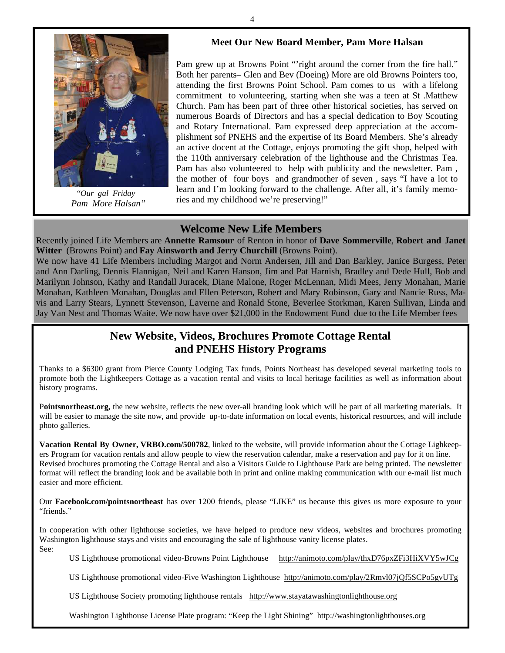#### **Meet Our New Board Member, Pam More Halsan**



"*Our gal Friday Pam More Halsan"* 

Pam grew up at Browns Point "'right around the corner from the fire hall." Both her parents– Glen and Bev (Doeing) More are old Browns Pointers too, attending the first Browns Point School. Pam comes to us with a lifelong commitment to volunteering, starting when she was a teen at St .Matthew Church. Pam has been part of three other historical societies, has served on numerous Boards of Directors and has a special dedication to Boy Scouting and Rotary International. Pam expressed deep appreciation at the accomplishment sof PNEHS and the expertise of its Board Members. She's already an active docent at the Cottage, enjoys promoting the gift shop, helped with the 110th anniversary celebration of the lighthouse and the Christmas Tea. Pam has also volunteered to help with publicity and the newsletter. Pam , the mother of four boys and grandmother of seven , says "I have a lot to learn and I'm looking forward to the challenge. After all, it's family memories and my childhood we're preserving!"

#### **Welcome New Life Members**

Recently joined Life Members are **Annette Ramsour** of Renton in honor of **Dave Sommerville**, **Robert and Janet Witter** (Browns Point) and **Fay Ainsworth and Jerry Churchill** (Browns Point).

We now have 41 Life Members including Margot and Norm Andersen, Jill and Dan Barkley, Janice Burgess, Peter and Ann Darling, Dennis Flannigan, Neil and Karen Hanson, Jim and Pat Harnish, Bradley and Dede Hull, Bob and Marilynn Johnson, Kathy and Randall Juracek, Diane Malone, Roger McLennan, Midi Mees, Jerry Monahan, Marie Monahan, Kathleen Monahan, Douglas and Ellen Peterson, Robert and Mary Robinson, Gary and Nancie Russ, Mavis and Larry Stears, Lynnett Stevenson, Laverne and Ronald Stone, Beverlee Storkman, Karen Sullivan, Linda and Jay Van Nest and Thomas Waite. We now have over \$21,000 in the Endowment Fund due to the Life Member fees

## **New Website, Videos, Brochures Promote Cottage Rental and PNEHS History Programs**

Thanks to a \$6300 grant from Pierce County Lodging Tax funds, Points Northeast has developed several marketing tools to promote both the Lightkeepers Cottage as a vacation rental and visits to local heritage facilities as well as information about history programs.

P**ointsnortheast.org,** the new website, reflects the new over-all branding look which will be part of all marketing materials. It will be easier to manage the site now, and provide up-to-date information on local events, historical resources, and will include photo galleries.

**Vacation Rental By Owner, VRBO.com/500782**, linked to the website, will provide information about the Cottage Lighkeepers Program for vacation rentals and allow people to view the reservation calendar, make a reservation and pay for it on line. Revised brochures promoting the Cottage Rental and also a Visitors Guide to Lighthouse Park are being printed. The newsletter format will reflect the branding look and be available both in print and online making communication with our e-mail list much easier and more efficient.

Our **Facebook.com/pointsnortheast** has over 1200 friends, please "LIKE" us because this gives us more exposure to your "friends."

In cooperation with other lighthouse societies, we have helped to produce new videos, websites and brochures promoting Washington lighthouse stays and visits and encouraging the sale of lighthouse vanity license plates. See:

US Lighthouse promotional video-Browns Point Lighthouse http://animoto.com/play/thxD76pxZFi3HiXVY5wJCg

US Lighthouse promotional video-Five Washington Lighthouse http://animoto.com/play/2Rmvl07jQf5SCPo5gvUTg

US Lighthouse Society promoting lighthouse rentals http://www.stayatawashingtonlighthouse.org

Washington Lighthouse License Plate program: "Keep the Light Shining" http://washingtonlighthouses.org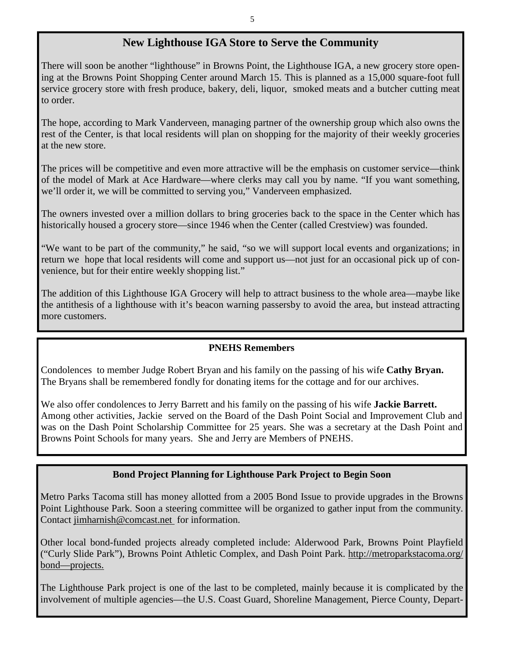### **New Lighthouse IGA Store to Serve the Community**

There will soon be another "lighthouse" in Browns Point, the Lighthouse IGA, a new grocery store opening at the Browns Point Shopping Center around March 15. This is planned as a 15,000 square-foot full service grocery store with fresh produce, bakery, deli, liquor, smoked meats and a butcher cutting meat to order.

The hope, according to Mark Vanderveen, managing partner of the ownership group which also owns the rest of the Center, is that local residents will plan on shopping for the majority of their weekly groceries at the new store.

The prices will be competitive and even more attractive will be the emphasis on customer service—think of the model of Mark at Ace Hardware—where clerks may call you by name. "If you want something, we'll order it, we will be committed to serving you," Vanderveen emphasized.

The owners invested over a million dollars to bring groceries back to the space in the Center which has historically housed a grocery store—since 1946 when the Center (called Crestview) was founded.

"We want to be part of the community," he said, "so we will support local events and organizations; in return we hope that local residents will come and support us—not just for an occasional pick up of convenience, but for their entire weekly shopping list."

The addition of this Lighthouse IGA Grocery will help to attract business to the whole area—maybe like the antithesis of a lighthouse with it's beacon warning passersby to avoid the area, but instead attracting more customers.

#### **PNEHS Remembers**

Condolences to member Judge Robert Bryan and his family on the passing of his wife **Cathy Bryan.**  The Bryans shall be remembered fondly for donating items for the cottage and for our archives.

We also offer condolences to Jerry Barrett and his family on the passing of his wife **Jackie Barrett.** Among other activities, Jackie served on the Board of the Dash Point Social and Improvement Club and was on the Dash Point Scholarship Committee for 25 years. She was a secretary at the Dash Point and Browns Point Schools for many years. She and Jerry are Members of PNEHS.

#### **Bond Project Planning for Lighthouse Park Project to Begin Soon**

Metro Parks Tacoma still has money allotted from a 2005 Bond Issue to provide upgrades in the Browns Point Lighthouse Park. Soon a steering committee will be organized to gather input from the community. Contact jimharnish@comcast.net for information.

Other local bond-funded projects already completed include: Alderwood Park, Browns Point Playfield ("Curly Slide Park"), Browns Point Athletic Complex, and Dash Point Park. http://metroparkstacoma.org/ bond—projects.

The Lighthouse Park project is one of the last to be completed, mainly because it is complicated by the involvement of multiple agencies—the U.S. Coast Guard, Shoreline Management, Pierce County, Depart-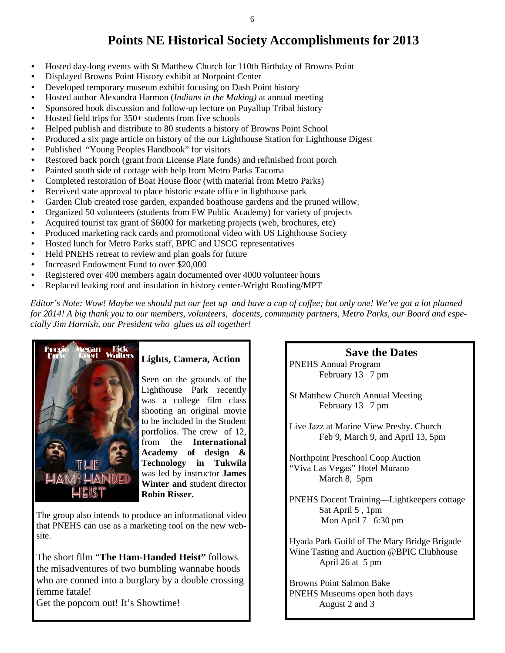# **Points NE Historical Society Accomplishments for 2013**

- Hosted day-long events with St Matthew Church for 110th Birthday of Browns Point
- Displayed Browns Point History exhibit at Norpoint Center
- Developed temporary museum exhibit focusing on Dash Point history
- Hosted author Alexandra Harmon (*Indians in the Making)* at annual meeting
- Sponsored book discussion and follow-up lecture on Puyallup Tribal history
- Hosted field trips for 350+ students from five schools
- Helped publish and distribute to 80 students a history of Browns Point School
- Produced a six page article on history of the our Lighthouse Station for Lighthouse Digest
- Published "Young Peoples Handbook" for visitors
- Restored back porch (grant from License Plate funds) and refinished front porch
- Painted south side of cottage with help from Metro Parks Tacoma
- Completed restoration of Boat House floor (with material from Metro Parks)
- Received state approval to place historic estate office in lighthouse park
- Garden Club created rose garden, expanded boathouse gardens and the pruned willow.
- Organized 50 volunteers (students from FW Public Academy) for variety of projects
- Acquired tourist tax grant of \$6000 for marketing projects (web, brochures, etc)
- Produced marketing rack cards and promotional video with US Lighthouse Society
- Hosted lunch for Metro Parks staff, BPIC and USCG representatives
- Held PNEHS retreat to review and plan goals for future
- Increased Endowment Fund to over \$20,000
- Registered over 400 members again documented over 4000 volunteer hours
- Replaced leaking roof and insulation in history center-Wright Roofing/MPT

*Editor's Note: Wow! Maybe we should put our feet up and have a cup of coffee; but only one! We've got a lot planned for 2014! A big thank you to our members, volunteers, docents, community partners, Metro Parks, our Board and especially Jim Harnish, our President who glues us all together!* 



#### **Lights, Camera, Action**

Seen on the grounds of the Lighthouse Park recently was a college film class shooting an original movie to be included in the Student portfolios. The crew of 12, from the **International Academy of design & Technology in Tukwila**  was led by instructor **James Winter and** student director **Robin Risser.** 

The group also intends to produce an informational video that PNEHS can use as a marketing tool on the new website.

The short film "**The Ham-Handed Heist"** follows the misadventures of two bumbling wannabe hoods who are conned into a burglary by a double crossing femme fatale!

Get the popcorn out! It's Showtime!

#### **Save the Dates**

PNEHS Annual Program February 13 7 pm

St Matthew Church Annual Meeting February 13 7 pm

Live Jazz at Marine View Presby. Church Feb 9, March 9, and April 13, 5pm

Northpoint Preschool Coop Auction "Viva Las Vegas" Hotel Murano March 8, 5pm

PNEHS Docent Training—Lightkeepers cottage Sat April 5 , 1pm Mon April 7 6:30 pm

Hyada Park Guild of The Mary Bridge Brigade Wine Tasting and Auction @BPIC Clubhouse April 26 at 5 pm

Browns Point Salmon Bake PNEHS Museums open both days August 2 and 3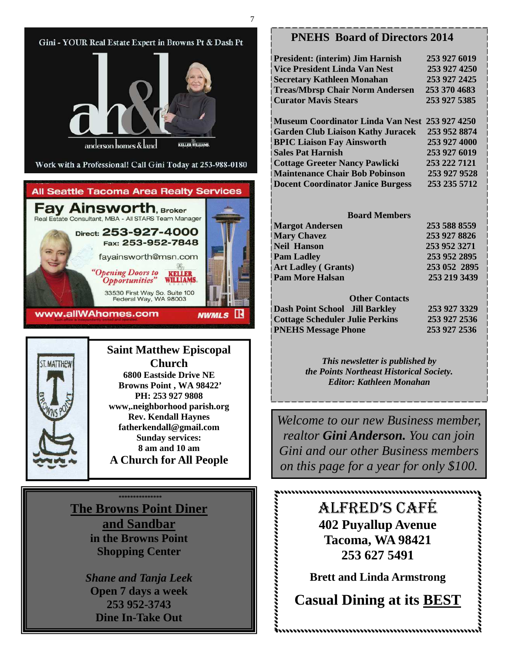

**The Browns Point Diner and Sandbar in the Browns Point Shopping Center** 

> *Shane and Tanja Leek*  **Open 7 days a week 253 952-3743 Dine In-Take Out**

#### **PNEHS Board of Directors 2014**

| <b>President: (interim) Jim Harnish</b><br><b>Vice President Linda Van Nest</b> | 253 927 6019 |
|---------------------------------------------------------------------------------|--------------|
|                                                                                 |              |
|                                                                                 | 253 927 4250 |
| Secretary Kathleen Monahan                                                      | 253 927 2425 |
| <b>Treas/Mbrsp Chair Norm Andersen</b>                                          | 253 370 4683 |
| <b>Curator Mavis Stears</b>                                                     | 253 927 5385 |
|                                                                                 | 253 927 4250 |
| <b>Museum Coordinator Linda Van Nest</b>                                        |              |
| <b>Garden Club Liaison Kathy Juracek</b>                                        | 253 952 8874 |
| <b>BPIC Liaison Fay Ainsworth</b>                                               | 253 927 4000 |
| <b>Sales Pat Harnish</b>                                                        | 253 927 6019 |
| <b>Cottage Greeter Nancy Pawlicki</b>                                           | 253 222 7121 |
| <b>Maintenance Chair Bob Pobinson</b>                                           | 253 927 9528 |
| <b>Docent Coordinator Janice Burgess</b>                                        | 253 235 5712 |
|                                                                                 |              |
| <b>Board Members</b>                                                            |              |
| <b>Margot Andersen</b>                                                          | 253 588 8559 |
| <b>Mary Chavez</b>                                                              | 253 927 8826 |
| <b>Neil Hanson</b>                                                              | 253 952 3271 |
| <b>Pam Ladley</b>                                                               | 253 952 2895 |
| <b>Art Ladley (Grants)</b>                                                      | 253 052 2895 |
| <b>Pam More Halsan</b>                                                          | 253 219 3439 |
|                                                                                 |              |
| <b>Other Contacts</b>                                                           |              |
|                                                                                 |              |
| <b>Dash Point School Jill Barkley</b>                                           | 253 927 3329 |
| <b>Cottage Scheduler Julie Perkins</b>                                          | 253 927 2536 |
| <b>PNEHS Message Phone</b>                                                      | 253 927 2536 |

*This newsletter is published by the Points Northeast Historical Society. Editor: Kathleen Monahan* 

*Welcome to our new Business member, realtor Gini Anderson. You can join Gini and our other Business members on this page for a year for only \$100.* 

> ALFRED'S CAFÉ **402 Puyallup Avenue Tacoma, WA 98421 253 627 5491**

**Brett and Linda Armstrong** 

**Casual Dining at its BEST** 

,,,,,,,,,,,,,,,,,,,,,,,,,,,,,,,,,,,,,